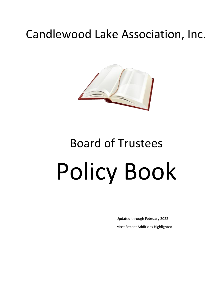# Candlewood Lake Association, Inc.



# Board of Trustees Policy Book

Updated through February 2022 Most Recent Additions Highlighted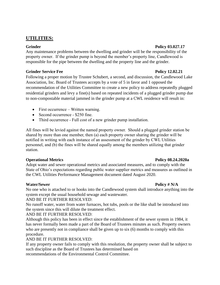### **UTILITIES:**

### **Grinder Policy 03.027.17**

Any maintenance problems between the dwelling and grinder will be the responsibility of the property owner. If the grinder pump is beyond the member's property line, Candlewood is responsible for the pipe between the dwelling and the property line and the grinder.

### **Grinder Service Fee Policy 12.02.21**

Following a proper motion by Trustee Schubert, a second, and discussion, the Candlewood Lake Association, Inc. Board of Trustees accepts by a vote of 5 in favor and 1 opposed the recommendation of the Utilities Committee to create a new policy to address repeatedly plugged residential grinders and levy a fine(s) based on repeated incidents of a plugged grinder pump due to non-compostable material jammed in the grinder pump at a CWL residence will result in:

- First occurrence Written warning.
- Second occurrence \$250 fine.
- Third occurrence Full cost of a new grinder pump installation.

All fines will be levied against the named property owner. Should a plugged grinder station be shared by more than one member, then (a) each property owner sharing the grinder will be notified in writing with each instance of an assessment of the grinder by CWL Utilities personnel, and (b) the fines will be shared equally among the members utilizing that grinder station.

### **Operational Metrics Policy 08.24.2020a**

Adopt water and sewer operational metrics and associated measures, and to comply with the State of Ohio's expectations regarding public water supplier metrics and measures as outlined in the CWL Utilities Performance Management document dated August 2020.

### **Water/Sewer Policy # N/A**

No one who is attached to or hooks into the Candlewood system shall introduce anything into the system except the usual household sewage and wastewater.

AND BE IT FURTHER RESOLVED:

No runoff water, water from water furnaces, hot tubs, pools or the like shall be introduced into the system since this will dilute the treatment effect.

### AND BE IT FURTHER RESOLVED:

Although this policy has been in effect since the establishment of the sewer system in 1984, it has never formally been made a part of the Board of Trustees minutes as such. Property owners who are presently not in compliance shall be given up to six (6) months to comply with this procedure.

### AND BE IT FURTHER RESOLVED:

If any property owner fails to comply with this resolution, the property owner shall be subject to such discipline as the Board of Trustees has determined based on recommendations of the Environmental Control Committee.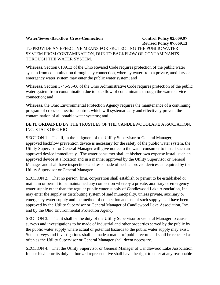#### **Water/Sewer-Backflow Cross-Connection Control Policy 02.009.97**

## **Revised Policy 07.069.13**

### TO PROVIDE AN EFFECTIVE MEANS FOR PROTECTING THE PUBLIC WATER SYSTEM FROM CONTAMINATION, DUE TO BACKFLOW OF CONTAMINANTS THROUGH THE WATER SYSTEM.

**Whereas,** Section 6109.13 of the Ohio Revised Code requires protection of the public water system from contamination through any connection, whereby water from a private, auxiliary or emergency water system may enter the public water system; and

**Whereas**, Section 3745-95-06 of the Ohio Administrative Code requires protection of the public water system from contamination due to backflow of contaminants through the water service connection; and

**Whereas**, the Ohio Environmental Protection Agency requires the maintenance of a continuing program of cross-connection control, which will systematically and effectively prevent the contamination of all potable water systems; and

**BE IT ORDAINED** BY THE TRUSTEES OF THE CANDLEWOODLAKE ASSOCIATION, INC. STATE OF OHIO

SECTION 1. That if, in the judgment of the Utility Supervisor or General Manager, an approved backflow prevention device is necessary for the safety of the public water system, the Utility Supervisor or General Manager will give notice to the water consumer to install such an approved device immediately. The water consumer shall at his/her own expense install such an approved device at a location and in a manner approved by the Utility Supervisor or General Manager and shall have inspections and tests made of such approved devices as required by the Utility Supervisor or General Manager.

SECTION 2. That no person, firm, corporation shall establish or permit to be established or maintain or permit to be maintained any connection whereby a private, auxiliary or emergency water supply other than the regular public water supply of Candlewood Lake Association, Inc. may enter the supply or distributing system of said municipality, unless private, auxiliary or emergency water supply and the method of connection and use of such supply shall have been approved by the Utility Supervisor or General Manager of Candlewood Lake Association, Inc. and by the Ohio Environmental Protection Agency.

SECTION 3. That it shall be the duty of the Utility Supervisor or General Manager to cause surveys and investigations to be made of industrial and other properties served by the public by the public water supply where actual or potential hazards to the public water supply may exist. Such surveys and investigations shall be made a matter of public record and shall be repeated as often as the Utility Supervisor or General Manager shall deem necessary.

SECTION 4. That the Utility Supervisor or General Manager of Candlewood Lake Association, Inc. or his/her or its duly authorized representative shall have the right to enter at any reasonable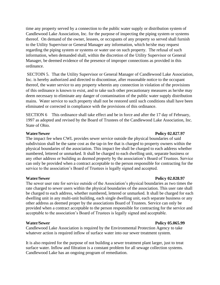time any property served by a connection to the public water supply or distribution system of Candlewood Lake Association, Inc. for the purpose of inspecting the piping system or systems thereof. On demand of the owner, lessees, or occupants of any property so served shall furnish to the Utility Supervisor or General Manager any information, which he/she may request regarding the piping system or systems or water use on such property. The refusal of such information, when demanded shall, within the discretion of the Utility Supervisor or General Manager, be deemed evidence of the presence of improper connections as provided in this ordinance.

SECTOIN 5. That the Utility Supervisor or General Manager of Candlewood Lake Association, Inc. is hereby authorized and directed to discontinue, after reasonable notice to the occupant thereof, the water service to any property wherein any connection in violation of the provisions of this ordinance is known to exist, and to take such other precautionary measures as he/she may deem necessary to eliminate any danger of contamination of the public water supply distribution mains. Water service to such property shall not be restored until such conditions shall have been eliminated or corrected in compliance with the provisions of this ordinance.

SECTION 6 This ordinance shall take effect and be in force and after the 17 day of February, 1997 as adopted and revised by the Board of Trustees of the Candlewood Lake Association, Inc. State of Ohio.

The impact fee when CWL provides sewer service outside the physical boundaries of said subdivision shall be the same cost as the tap-in fee that is charged to property owners within the physical boundaries of the association. This impact fee shall be charged to each address whether numbered, lettered or unmarked. It shall be charged to each dwelling unit, separate business or any other address or building as deemed property by the association's Board of Trustees. Service can only be provided when a contract acceptable to the person responsible for contracting for the service to the association's Board of Trustees is legally signed and accepted.

### **Water/Sewer Policy 02.028.97**

The sewer user rate for service outside of the Association's physical boundaries as two times the rate charged to sewer users within the physical boundaries of the association. This user rate shall be charged to each address, whether numbered, lettered or unmarked. It shall be charged for each dwelling unit in any multi-unit building, each single dwelling unit, each separate business or any other address as deemed proper by the associations Board of Trustees. Service can only be provided when a contract acceptable to the person responsible for contracting for the service and acceptable to the association's Board of Trustees is legally signed and acceptable.

Candlewood Lake Association is required by the Environmental Protection Agency to take whatever action is required inflow of surface water into our sewer treatment system.

It is also required for the purpose of not building a sewer treatment plant larger, just to treat surface water. Inflow and filtration is a constant problem for all sewage collection systems. Candlewood Lake has an ongoing program of remediation.

#### **Water/Sewer Policy 02.027.97**

#### **Water/Sewer Policy 05.065.99**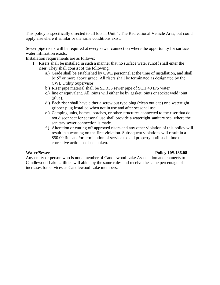This policy is specifically directed to all lots in Unit 4, The Recreational Vehicle Area, but could apply elsewhere if similar or the same conditions exist.

Sewer pipe risers will be required at every sewer connection where the opportunity for surface water infiltration exists.

Installation requirements are as follows:

- 1. Risers shall be installed in such a manner that no surface water runoff shall enter the riser. They shall consist of the following:
	- a.) Grade shall be established by CWL personnel at the time of installation, and shall be 5" or more above grade. All risers shall be terminated as designated by the CWL Utility Supervisor
	- b.) Riser pipe material shall be SDR35 sewer pipe of SCH 40 IPS water
	- c.) line or equivalent. All joints will either be by gasket joints or socket weld joint (glue).
	- d.) Each riser shall have either a screw out type plug (clean out cap) or a watertight gripper plug installed when not in use and after seasonal use.
	- e.) Camping units, homes, porches, or other structures connected to the riser that do not disconnect for seasonal use shall provide a watertight sanitary seal where the sanitary sewer connection is made.
	- f.) Alteration or cutting off approved risers and any other violation of this policy will result in a warning on the first violation. Subsequent violations will result in a \$50.00 fine and/or termination of service to said property until such time that corrective action has been taken.

### **Water/Sewer Policy 10S.136.08**

Any entity or person who is not a member of Candlewood Lake Association and connects to Candlewood Lake Utilities will abide by the same rules and receive the same percentage of increases for services as Candlewood Lake members.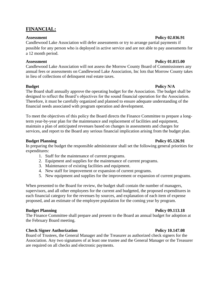### **FINANCIAL:**

Candlewood Lake Association will defer assessments or try to arrange partial payments if possible for any person who is deployed in active service and are not able to pay assessments for a 12 month period.

### **Assessment** Policy 01.015.00

Candlewood Lake Association will not assess the Morrow County Board of Commissioners any annual fees or assessments on Candlewood Lake Association, Inc lots that Morrow County takes in lieu of collections of delinquent real estate taxes.

### **Budget Policy N/A**

The Board shall annually approve the operating budget for the Association. The budget shall be designed to reflect the Board's objectives for the sound financial operation for the Association. Therefore, it must be carefully organized and planned to ensure adequate understanding of the financial needs associated with program operation and development.

To meet the objectives of this policy the Board directs the Finance Committee to prepare a longterm year-by-year plan for the maintenance and replacement of facilities and equipment, maintain a plan of anticipated revenues based on changes in assessments and charges for services, and report to the Board any serious financial implication arising from the budget plan.

### **Budget Planning Policy 05.126.91**

In preparing the budget the responsible administrator shall set the following general priorities for expenditures:

- 1. Staff for the maintenance of current programs.
- 2. Equipment and supplies for the maintenance of current programs.
- 3. Maintenance of existing facilities and equipment.
- 4. New staff for improvement or expansion of current programs.
- 5. New equipment and supplies for the improvement or expansion of current programs.

When presented to the Board for review, the budget shall contain the number of managers, supervisors, and all other employees for the current and budgeted, the proposed expenditures in each financial category for the revenues by sources, and explanation of each item of expense proposed, and an estimate of the employee population for the coming year by program.

### **Budget Planning Policy 09.113.18**

The Finance Committee shall prepare and present to the Board an annual budget for adoption at the February Board meeting.

### **Check Signer Authorization Policy 10.147.08 Policy 10.147.08**

Board of Trustees, the General Manager and the Treasurer as authorized check signers for the Association. Any two signatures of at least one trustee and the General Manager or the Treasurer are required on all checks and electronic payments.

### Assessment Policy 02.036.91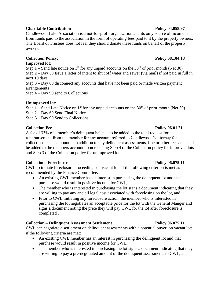### **Charitable Contribution Community Contribution Policy 04.058.97**

Candlewood Lake Association is a not-for-profit organization and its only source of income is from funds paid to the association in the form of operating fees paid to it by the property owners. The Board of Trustees does not feel they should donate these funds on behalf of the property owners.

### **Collection Policy:** Policy 2.104.18

#### **Improved lot:**

Step 1 – Send late notice on 1<sup>st</sup> for any unpaid accounts on the 30<sup>th</sup> of prior month (Net 30) Step 2 – Day 50 Issue a letter of intent to shut off water and sewer (via mail) if not paid in full in next 10 days Step 3 – Day 60 disconnect any accounts that have not been paid or made written payment arrangements

Step 4 – Day 90 send to Collections

### **Unimproved lot:**

Step  $1$  – Send Late Notice on 1<sup>st</sup> for any unpaid accounts on the 30<sup>th</sup> of prior month (Net 30)

Step 2 – Day 60 Send Final Notice

Step 3 – Day 90 Send to Collections

### **Collection Fee Policy 06.01.21**

A fee of 33% of a member's delinquent balance to be added to the total request for reimbursement from the member for any account referred to Candlewood's attorney for collections. This amount is in addition to any delinquent assessments, fine or other fees and shall be added to the members account upon reaching Step 4 of the Collection policy for improved lots and Step 3 of the Collection policy for unimproved lots.

### **Collections-Foreclosure Policy 06.075.11**

CWL to initiate foreclosure proceedings on vacant lots if the following criterion is met as recommended by the Finance Committee:

- An existing CWL member has an interest in purchasing the delinquent lot and that purchase would result in positive income for CWL,
- The member who is interested in purchasing the lot signs a document indicating that they are willing to pay any and all legal cost associated with foreclosing on the lot, and
- Prior to CWL initiating any foreclosure action, the member who is interested in purchasing the lot negotiates an acceptable price for the lot with the General Manger and signs a document noting the price they will pay CWL for the lot after foreclosure is completed .

### **Collection – Delinquent Assessment Settlement Policy 06.075.11**

CWL can negotiate a settlement on delinquent assessments with a potential buyer, on vacant lots if the following criteria are met:

- An existing CWL member has an interest in purchasing the delinquent lot and that purchase would result in positive income for CWL,
- The member who is interested in purchasing the lot signs a document indicating that they are willing to pay a pre-negotiated amount of the delinquent assessments to CWL, and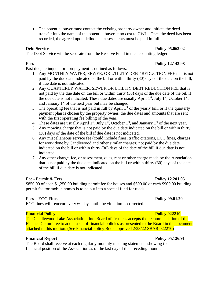• The potential buyer must contact the existing property owner and initiate the deed transfer into the name of the potential buyer at no cost to CWL. Once the deed has been recorded, the agreed upon delinquent assessments must be paid in full.

**Debt Service Policy 05.063.02** 

The Debt Service will be separate from the Reserve Fund in the accounting ledger.

**Fees Policy 12.143.98** 

Past due, delinquent or non-payment is defined as follows:

- 1. Any MONTHLY WATER, SEWER, OR UTILITY DEBT REDUCTION FEE that is not paid by the due date indicated on the bill or within thirty (30) days of the date on the bill, if due date is not indicated.
- 2. Any QUARTERLY WATER, SEWER OR UTILITY DEBT REDUCTION FEE that is not paid by the due date on the bill or within thirty (30) days of the due date of the bill if the due date is not indicated. These due dates are usually April  $1<sup>st</sup>$ , July  $1<sup>st</sup>$ , October  $1<sup>st</sup>$ , and January  $1<sup>st</sup>$  of the next year but may be changed.
- 3. The operating fee that is not paid in full by April  $1<sup>st</sup>$  of the yearly bill, or if the quarterly payment plan is chosen by the property owner, the due dates and amounts that are sent with the first operating fee billing of the year.
- 4. These dates are usually April 1<sup>st</sup>, July 1<sup>st</sup>, October 1<sup>st</sup>, and January 1<sup>st</sup> of the next year.
- 5. Any mowing charge that is not paid by the due date indicated on the bill or within thirty (30) days of the date of the bill if due date is not indicated.
- 6. Any miscellaneous service fee (could include fines, traffic citations, ECC fines, charges for work done by Candlewood and other similar charges) not paid by the due date indicated on the bill or within thirty (30) days of the date of the bill if due date is not indicated.
- 7. Any other charge, fee, or assessment, dues, rent or other charge made by the Association that is not paid by the due date indicated on the bill or within thirty (30) days of the date of the bill if due date is not indicated.

### **Fee - Permit & Fees Policy 12.201.05**

\$850.00 of each \$1,250.00 building permit fee for houses and \$600.00 of each \$900.00 building permit fee for mobile homes is to be put into a special fund for roads.

### **Fees – ECC Fines Policy 09.01.20**

ECC fines will reoccur every 60 days until the violation is corrected.

### **Financial Policy Policy Policy Policy Policy Policy Policy Policy Policy Policy Policy Policy Policy Policy Policy Policy Policy Policy Policy Policy Policy Policy Policy Poli**

The Candlewood Lake Association, Inc. Board of Trustees accepts the recommendation of the Finance Committee to adopt a set of financial policies as presented to the Board in the document attached to this motion. (See Financial Policy Book approved 2/28/22 SBAR 022210)

### **Financial Report Policy 05.126.91**

The Board shall receive at each regularly monthly meeting statements showing the financial position of the Association as of the last day of the preceding month.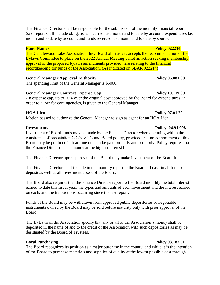The Finance Director shall be responsible for the submission of the monthly financial report. Said report shall include obligations incurred last month and to date by account, expenditures last month and to date by account, and funds received last month and to date by source.

The Candlewood Lake Association, Inc. Board of Trustees accepts the recommendation of the Bylaws Committee to place on the 2022 Annual Meeting ballot an action seeking membership approval of the proposed bylaws amendments provided here relating to the financial recordkeeping for funds of the Association. (As indicated on SBAR 022214)

### General Manager Approval Authority **Policy 06.081.08**

The spending limit of the General Manager is \$5000,

### General Manager Contract Expense Cap **Policy 10.119.09**

An expense cap, up to 10% over the original cost approved by the Board for expenditures, in order to allow for contingencies, is given to the General Manager.

### **HOA Lien Policy 07.01.20**

Motion passed to authorize the General Manager to sign as agent for an HOA Lien.

Investment of Board funds may be made by the Finance Director when operating within the constraints of Association C C's & R's and Board policy, provided that no commitment of this Board may be put in default at time due but be paid properly and promptly. Policy requires that the Finance Director place money at the highest interest bid.

The Finance Director upon approval of the Board may make investment of the Board funds.

The Finance Director shall include in the monthly report to the Board all cash in all funds on deposit as well as all investment assets of the Board.

The Board also requires that the Finance Director report to the Board monthly the total interest earned to date this fiscal year, the types and amounts of each investment and the interest earned on each, and the transactions occurring since the last report.

Funds of the Board may be withdrawn from approved public depositories or negotiable instruments owned by the Board may be sold before maturity only with prior approval of the Board.

The ByLaws of the Association specify that any or all of the Association's money shall be deposited in the name of and to the credit of the Association with such depositories as may be designated by the Board of Trustees.

### **Local Purchasing Policy 08.187.91** Policy 08.187.91

The Board recognizes its position as a major purchase in the county, and while it is the intention of the Board to purchase materials and supplies of quality at the lowest possible cost through

#### **Investments Policy 04.91.098**

### **Fund Names Policy 022214**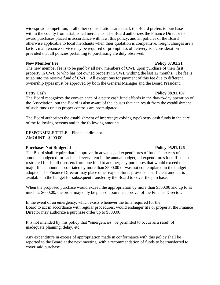widespread competition, if all other considerations are equal, the Board prefers to purchase within the county from established merchants. The Board authorizes the Finance Director to award purchases placed in accordance with law, this policy, and all policies of the Board otherwise applicable to local merchants when their quotation is competitive, freight charges are a factor, maintenance service may be required or promptness of delivery is a consideration provided that all policies pertaining to purchasing are duly observed.

#### **New Member Fee Policy 07.01.21**

The new member fee is to be paid by all new members of CWL upon purchase of their first property in CWL or who has not owned property in CWL withing the last 12 months. The fee is to go into the reserve fund of CWL. All exceptions for payment of this fee due to different ownership types must be approved by both the General Manager and the Board President.

#### **Petty Cash Policy 08.91.187**

The Board recognizes the convenience of a petty cash fund affords in the day-to-day operation of the Association, but the Board is also aware of the abuses that can result from the establishment of such funds unless proper controls are promulgated.

The Board authorizes the establishment of imprest (revolving type) petty cash funds in the care of the following persons and in the following amounts:

RESPONSIBLE TITLE – Financial director AMOUNT - \$200.00

### **Purchases Not Budgeted Policy 05.91.126**

### The Board shall require that it approve, in advance, all expenditures of funds in excess of amounts budgeted for each and every item in the annual budget; all expenditures identified as the restricted funds; all transfers from one fund to another; any purchases that would exceed the major line amount appropriated by more than \$500.00 or was not contemplated in the budget adopted. The Finance Director may place other expenditures provided a sufficient amount is available in the budget for subsequent transfer by the Board to cover the purchase.

When the proposed purchase would exceed the appropriation by more than \$500.00 and up to as much as \$600.00, the order may only be placed upon the approval of the Finance Director.

In the event of an emergency, which exists whenever the time required for the Board to act in accordance with regular procedures, would endanger life or property, the Finance Director may authorize a purchase order up to \$500.00.

It is not intended by this policy that "emergencies" be permitted to occur as a result of inadequate planning, delay, etc.

Any expenditure in excess of appropriation made in conformance with this policy shall be reported to the Board at the next meeting, with a recommendation of funds to be transferred to cover said purchase.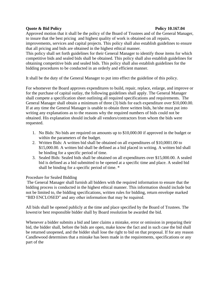#### **Quote & Bid Policy Policy 10.167.04**

Approved motion that it shall be the policy of the Board of Trustees and of the General Manager, to insure that the best pricing and highest quality of work is obtained on all repairs, improvements, services and capital projects. This policy shall also establish guidelines to ensure that all pricing and bids are obtained in the highest ethical manner.

This policy shall set forth guidelines for their General Manager to identify those items for which competitive bids and sealed bids shall be obtained. This policy shall also establish guidelines for obtaining competitive bids and sealed bids. This policy shall also establish guidelines for the bidding procedures to be conducted in an orderly and efficient manner.

It shall be the duty of the General Manager to put into effect the guideline of this policy.

For whomever the Board approves expenditures to build, repair, replace, enlarge, and improve or for the purchase of capital outlay, the following guidelines shall apply. The General Manager shall compete a specification sheet outlining all required specifications and requirements. The General Manager shall obtain a minimum of three (3) bids for each expenditure over \$10,000.00. If at any time the General Manager is unable to obtain three written bids, he/she must put into writing any explanations as to the reasons why the required numbers of bids could not be obtained. His explanation should include all vendors/contractors from whom the bids were requested.

- 1. No Bids: No bids are required on amounts up to \$10,000.00 if approved in the budget or within the parameters of the budget.
- 2. Written Bids: A written bid shall be obtained on all expenditures of \$10,0001.00 to \$15,000.00. A written bid shall be defined as a bid placed in writing. A written bid shall be binding for a specific period of time.
- 3. Sealed Bids: Sealed bids shall be obtained on all expenditures over \$15,000.00. A sealed bid is defined as a bid submitted to be opened at a specific time and place. A sealed bid shall be binding for a specific period of time. \*

### Procedure for Sealed Bidding

The General Manager shall furnish all bidders with the required information to ensure that the bidding process is conducted in the highest ethical manner. This information should include but not be limited to, the bidding specifications, written rules for bidding, return envelope marked "BID ENCLOSED" and any other information that may be required.

All bids shall be opened publicly at the time and place specified by the Board of Trustees. The lowest/or best responsible bidder shall by Board resolution be awarded the bid.

Whenever a bidder submits a bid and later claims a mistake, error or omission in preparing their bid, the bidder shall, before the bids are open, make know the fact and in such case the bid shall be returned unopened, and the bidder shall lose the right to bid on that proposal. If for any reason Candlewood determines that a mistake has been made in the requirements, specifications or any part of the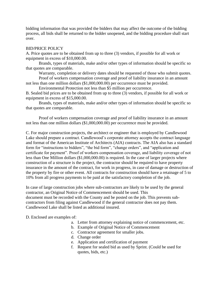bidding information that was provided the bidders that may affect the outcome of the bidding process, all bids shall be returned to the bidder unopened, and the bidding procedure shall start over.

#### BID/PRICE POLICY

A. Price quotes are to be obtained from up to three (3) vendors, if possible for all work or equipment in excess of \$10,000.00.

Brands, types of materials, make and/or other types of information should be specific so that quotes are comparable.

Warranty, completion or delivery dates should be requested of those who submit quotes.

Proof of workers compensation coverage and proof of liability insurance in an amount not less than one million dollars (\$1,000,000.00) per occurrence must be provided.

Environmental Protection not less than \$5 million per occurrence.

B. Sealed bid prices are to be obtained from up to three (3) vendors, if possible for all work or equipment in excess of \$15,000.00.

Brands, types of materials, make and/or other types of information should be specific so that quotes are comparable.

Proof of workers compensation coverage and proof of liability insurance in an amount not less than one million dollars (\$1,000,000.00) per occurrence must be provided.

C. For major construction projects, the architect or engineer that is employed by Candlewood Lake should prepare a contract. Candlewood's corporate attorney accepts the contract language and format of the American Institute of Architects (AIA) contracts. The AIA also has a standard form for "instructions to bidders", "the bid form", "change orders", and "application and certificate for payment". Proof of workers compensation coverage, and liability coverage of not less than One Million dollars (\$1,000,000.00) is required. In the case of larger projects where construction of a structure is the project, the contractor should be required to have property insurance in the amount of the contract, for work in progress, in case of damage or destruction of the property by fire or other event. All contracts for construction should have a retainage of 5 to 10% from all progress payments to be paid at the satisfactory completion of the job.

In case of large construction jobs where sub-contractors are likely to be used by the general contractor, an Original Notice of Commencement should be used. This document must be recorded with the County and be posted on the job. This prevents subcontractors from filing against Candlewood if the general contractor does not pay them. Candlewood Lake shall be listed as additional insured.

D. Enclosed are examples of:

- a. Letter from attorney explaining notice of commencement, etc.
- b. Example of Original Notice of Commencement
- c. Contractor agreement for smaller jobs.
- d. Change order
- e. Application and certification of payment
- f. Request for sealed bid as used by Sprint. (Could be used for quotes, bids, etc.)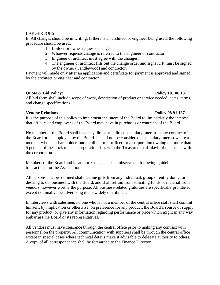#### LARGER JOBS

E. All changes should be in writing. If there is an architect or engineer being used, the following procedure should be used:

- 1. Builder or owner requests change.
- 2. Whoever requests change is referred to the engineer or contractor.
- 3. Engineer or architect must agree with the changes.
- 4. The engineer or architect fills out the change order and signs it. It must be signed by the owner (Candlewood) and contractor.

Payment will made only after an application and certificate for payment is approved and signed by the architect or engineer and contractor.

#### **Quote & Bid Policy: Policy 10.106.13**

All bid form shall include scope of work, description of product or service needed, dates, terms, and change specifications.

#### **Vendor Relations Policy 08.91.187**

It is the purpose of this policy to implement the intent of the Board to limit strictly the interest that officers and employees of the Board may have in purchases or contracts of the Board.

No member of the Board shall have any direct or indirect pecuniary interest in any contract of the Board or be employed by the Board. It shall not be considered a pecuniary interest where a member who is a shareholder, but not director or officer, or a corporation owning not more than 5 percent of the stock of such corporation files with the Treasurer an affidavit of this status with the corporation.

Members of the Board and its authorized agents shall observe the following guidelines in transactions for the Association.

All persons as afore defined shall decline gifts from any individual, group or entity doing, or desiring to do, business with the Board, and shall refrain from soliciting funds or material from vendors, however worthy the purpose. All business-related gratuities are specifically prohibited except nominal value advertising items widely distributed.

In interviews with salesmen, no one who is not a member of the central office staff shall commit himself, by implication or otherwise, on preference for any product, the Board's source of supply for any product, or give any information regarding performance or price which might in any way embarrass the Board or its representatives.

All vendors must have clearance through the central office prior to making any contract with personnel on the property. All communication with suppliers shall be through the central office except in special cases where technical details make it advisable to delegate authority to others. A copy of all correspondence shall be forwarded to the Finance Director.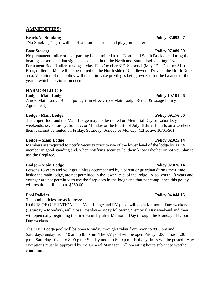### **AMMENITIES:**

### **Beach/No Smoking Policy 07.092.07**

"No Smoking" signs will be placed on the beach and playground areas.

No permanent trailer or boat parking be permitted at the North and South Dock area during the boating season, and that signs be posted at both the North and South docks stating, "No Permanent Boat-Trailer parking – May 1<sup>st</sup> to October 31<sup>st</sup>. Seasonal (May 1<sup>st</sup> – October 31<sup>st</sup>) Boat, trailer parking will be permitted on the North side of Candlewood Drive at the North Dock area. Violation of this policy will result in Lake privileges being revoked for the balance of the year in which the violation occurs.

### **HARMON LODGE**

**Lodge - Main Lodge Policy 10.101.06** 

A new Main Lodge Rental policy is in effect. (see Main Lodge Rental & Usage Policy Agreement)

### **Lodge - Main Lodge Policy 09.176.06**

The upper floor and the Main Lodge may not be rented on Memorial Day or Labor Day weekends, i.e. Saturday, Sunday, or Monday or the Fourth of July. If July 4<sup>th</sup> falls on a weekend, then it cannot be rented on Friday, Saturday, Sunday or Monday. (Effective 10/01/96)

### **Lodge – Main Lodge Policy 02.025.14**

Members are required to notify Security prior to use of the lower level of the lodge by a CWL member in good standing and, when notifying security, let them know whether or not you plan to use the fireplace.

### **Lodge – Main Lodge Policy 02.026.14**

Persons 18 years and younger, unless accompanied by a parent or guardian during their time inside the main lodge, are not permitted in the lower level of the lodge. Also, youth 18 years and younger are not permitted to use the fireplaces in the lodge and that noncompliance this policy will result in a fine up to \$250.00.

The pool policies are as follows:

HOURS OF OPERATION: The Main Lodge and RV pools will open Memorial Day weekend (Saturday – Monday), will close Tuesday –Friday following Memorial Day weekend and then will open daily beginning the first Saturday after Memorial Day through the Monday of Labor Day weekend.

The Main Lodge pool will be open Monday through Friday from noon to 8:00 pm and Saturday/Sunday from 10 am to 8:00 pm. The RV pool will be open Friday 4:00 p.m.to 8:00 p.m., Saturday 10 am to 8:00 p.m.; Sunday noon to 6:00 p.m.; Holiday times will be posted. Any exceptions must be approved by the General Manager. All operating hours subject to weather condition.

### **Boat Storage Policy 07.089.99**

### **Pool Policies Policy 04.044.15**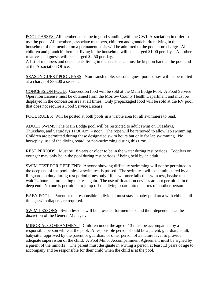POOL PASSES: All members must be in good standing with the CWL Association in order to use the pool. All members, associate members, children and grandchildren living in the household of the member on a permanent basis will be admitted to the pool at no charge. All children and grandchildren not living in the household will be charged \$1.00 per day. All other relatives and guests will be charged \$2.50 per day.

A list of members and dependents living in their residence must be kept on hand at the pool and at the Association Office.

SEASON GUEST POOL PASS: Non-transferable, seasonal guest pool passes will be permitted at a charge of \$35.00 a season.

CONCESSION FOOD: Concession food will be sold at the Main Lodge Pool. A Food Service Operation License must be obtained from the Morrow County Health Department and must be displayed in the concession area at all times. Only prepackaged food will be sold at the RV pool that does not require a Food Service License.

POOL RULES: Will be posted at both pools in a visible area for all swimmers to read.

ADULT SWIMS: The Main Lodge pool will be restricted to adult swim on Tuesdays, Thursdays, and Saturdays 11:30 a.m. – noon. The rope will be removed to allow lap swimming. Children are permitted during these designated swim hours but only for lap swimming. No horseplay, use of the diving board, or non-swimming during this time.

REST PERIODS: Must be 18 years or older to be in the water during rest periods. Toddlers or younger may only be in the pool during rest periods if being held by an adult.

SWIM TEST FOR DEEP END: Anyone showing difficulty swimming will not be permitted in the deep end of the pool unless a swim test is passed. The swim test will be administered by a lifeguard on duty during rest period times only. If a swimmer fails the swim test, he/she must wait 24 hours before taking the test again. The use of floatation devices are not permitted in the deep end. No one is permitted to jump off the diving board into the arms of another person.

BABY POOL – Parent or the responsible individual must stay in baby pool area with child at all times; swim diapers are required.

SWIM LESSONS: Swim lessons will be provided for members and their dependents at the discretion of the General Manager.

MINOR ACCOMPANIMENT: Children under the age of 13 must be accompanied by a responsible person while at the pool. A responsible person should be a parent, guardian, adult, babysitter approved by the parent or guardian, or other person of a mature level to provide adequate supervision of the child. A Pool Minor Accompaniment Agreement must be signed by a parent of the minor(s). The parent must designate in writing a person at least 13 years of age to accompany and be responsible for their child when the child is at the pool.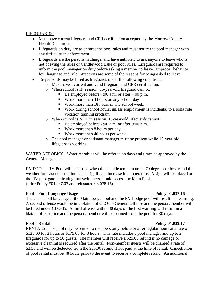#### LIFEGUARDS:

- Must have current lifeguard and CPR certification accepted by the Morrow County Health Department.
- Lifeguards on duty are to enforce the pool rules and must notify the pool manager with any difficulty in enforcement.
- Lifeguards are the persons in charge, and have authority to ask anyone to leave who is not obeying the rules of Candlewood Lake or pool rules. Lifeguards are required to inform the pool manager on duty before asking a member to leave. Improper behavior, foul language and rule infractions are some of the reasons for being asked to leave.
- 15-year-olds may be hired as lifeguards under the following conditions:
	- o Must have a current and valid lifeguard and CPR certification.
	- o When school is IN session, 15-year-old lifeguard cannot:
		- Be employed before 7:00 a.m. or after 7:00 p.m.
		- Work more than 3 hours on any school day
		- Work more than 18 hours in any school week.
		- Work during school hours, unless employment is incidental to a bona fide vocation training program.
	- o When school is NOT in session, 15-year-old lifeguards cannot:
		- Be employed before 7:00 a.m. or after 9:00 p.m.
		- Work more than 8 hours per day.
		- Work more than 40 hours per week.
	- o The pool manager or assistant manager must be present while 15-year-old lifeguard is working.

WATER AEROBICS: Water Aerobics will be offered on days and times as approved by the General Manager.

RV POOL : RV Pool will be closed when the outside temperature is 70 degrees or lower and the weather forecast does not indicate a significant increase in temperature. A sign will be placed on the RV pool gate indicating that swimmers should access the Main Pool. (prior Policy #04.037.07 and reinstated 08.078.15)

### **Pool – Foul Language Usage Policy 04.037.16**

The use of foul language at the Main Lodge pool and the RV Lodge pool will result in a warning. A second offense would be in violation of CLO-35 General Offense and the person/member will be fined under CLO-35. A third offense within 30 days of the first warning will result in a blatant offense fine and the person/member will be banned from the pool for 30 days.

RENTALS: The pool may be rented to members only before or after regular hours at a rate of \$125.00 for 2 hours or \$175.00 for 3 hours. This rate includes a pool manager and up to 2 lifeguards for up to 50 guests. The member will receive a \$25.00 refund if no damage or excessive cleaning is required after the rental. Non-member guests will be charged a rate of \$2.50 and will be deducted from the \$25.00 refund if not paid at the time of rental. Cancellation of pool rental must be 48 hours prior to the event to receive a complete refund. An additional

#### **Pool – Rental Policy 04.039.17**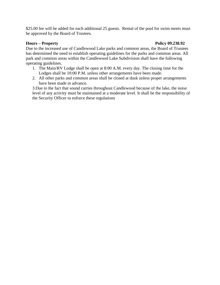\$25.00 fee will be added for each additional 25 guests. Rental of the pool for swim meets must be approved by the Board of Trustees.

#### **Hours – Property Policy 09.238.92**

Due to the increased use of Candlewood Lake parks and common areas, the Board of Trustees has determined the need to establish operating guidelines for the parks and common areas. All park and common areas within the Candlewood Lake Subdivision shall have the following operating guidelines.

- 1. The Main/RV Lodge shall be open at 8:00 A.M. every day. The closing time for the Lodges shall be 10:00 P.M. unless other arrangements have been made.
- 2. All other parks and common areas shall be closed at dusk unless proper arrangements have been made in advance.

3.Due to the fact that sound carries throughout Candlewood because of the lake, the noise level of any activity must be maintained at a moderate level. It shall be the responsibility of the Security Officer to enforce these regulations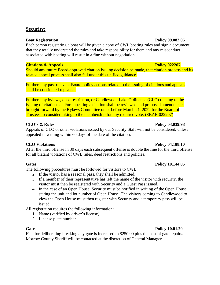### **Security:**

#### **Boat Registration Policy 09.082.06**

Each person registering a boat will be given a copy of CWL boating rules and sign a document that they totally understand the rules and take responsibility for them and any misconduct associated with boating will result in a fine without negotiation

### **Citations & Appeals Policy 022207**

Should any future Board-approved citation issuing decision be made, that citation process and its related appeal process shall also fall under this unified guidance.

Further, any past relevant Board policy actions related to the issuing of citations and appeals shall be considered repealed.

Further, any bylaws, deed restriction, or Candlewood Lake Ordinance (CLO) relating to the issuing of citations and/or appealing a citation shall be reviewed and proposed amendments brought forward by the Bylaws Committee on or before March 21, 2022 for the Board of Trustees to consider taking to the membership for any required vote. (SBAR 022207)

### **CLO's & Rules Policy 03.039.98**

Appeals of CLO or other violations issued by our Security Staff will not be considered, unless appealed in writing within 60 days of the date of the citation.

After the third offense in 30 days each subsequent offense is double the fine for the third offense for all blatant violations of CWL rules, deed restrictions and policies.

### **Gates Policy 10.144.05**

The following procedures must be followed for visitors to CWL:

- 2. If the visitor has a seasonal pass, they shall be admitted.
- 3. If a member of their representative has left the name of the visitor with security, the visitor must then be registered with Security and a Guest Pass issued.
- 4. In the case of an Open House, Security must be notified in writing of the Open House stating the unit and lot number of Open House. The visitors coming to Candlewood to view the Open House must then register with Security and a temporary pass will be issued.

All registration requires the following information:

- 1. Name (verified by driver's license)
- 2. License plate number

### **Gates Policy 10.01.20**

Fine for deliberating breaking any gate is increased to \$250.00 plus the cost of gate repairs. Morrow County Sheriff will be contacted at the discretion of General Manager.

### **CLO Violations Policy 04.188.10**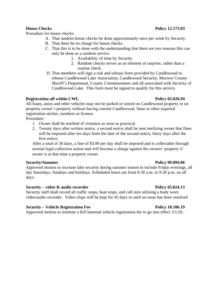Procedure for house checks:

- A. That random house checks be done approximately once per week by Security.
- B. That there be no charge for house checks.
- C. That this is to be done with the understanding that there are two reasons this can only be done as a random service.
	- 1. Availability of time by Security
	- 2. Random checks serves as an element of surprise, rather than a routine check.
- D. That members will sign a risk and release form provided by Candlewood to release Candlewood Lake Association, Candlewood Security, Morrow County Sheriff's Department, County Commissioners and all associated with Security of Candlewood Lake. This form must be signed to qualify for this service.

### **Registration-all within CWL Policy 02.026.94**

All boats, autos and other vehicles may not be parked or stored on Candlewood property or on property owner's property without having current Candlewood, State or other required registration sticker, numbers or license.

Procedure:

- 1. Owner shall be notified of violation as soon as practical.
- 2. Twenty days after written notice, a second notice shall be sent notifying owner that fines will be imposed after ten days from the date of the second notice, thirty days after the first notice.

After a total of 30 days, a fine of \$3.00 per day shall be imposed and is collectable through normal legal collection action and will become a charge against the owners' property if owner is at that time a property owner

### **Security/Summer Policy 09.094.06**

Approved motion to increase lake security during summer season to include Friday evenings, all day Saturdays, Sundays and holidays. Scheduled hours are from 8:30 a.m. to 9:30 p.m. on all days.

### **Security – video & audio recorder Policy 03.024.13**

Security staff shall record all traffic stops, boat stops, and call outs utilizing a body worn video/audio recorder. Video chips will be kept for 45 days or until an issue has been resolved

### **Security – Vehicle Registration Fee Policy 10.106.19 Policy 10.106.19**

Approved motion to institute a \$10 biennial vehicle registration fee to go into effect 3/1/20.

### **House Checks Policy 12.173.03**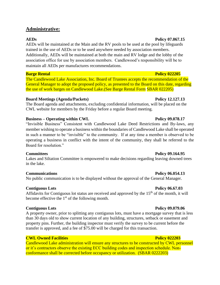### **Administrative:**

AEDs will be maintained at the Main and the RV pools to be used at the pool by lifeguards trained in the use of AEDs or to be used anywhere needed by association members. Additionally, AEDs will be maintained at both the main and RV lodge and the lobby of the association office for use by association members. Candlewood's responsibility will be to maintain all AEDs per manufactures recommendations.

#### **Barge Rental Policy 022205**

The Candlewood Lake Association, Inc. Board of Trustees accepts the recommendation of the General Manager to adopt the proposed policy, as presented to the Board on this date, regarding the use of work barges on Candlewood Lake.(See Barge Rental Form SBAR 022205)

#### **Board Meetings (Agenda/Packets) Policy 12.127.13**

The Board agenda and attachments, excluding confidential information, will be placed on the CWL website for members by the Friday before a regular Board meeting.

### **Business – Operating within CWL Policy 09.078.17**

"Invisible Business" Consistent with Candlewood Lake Deed Restrictions and By-laws, any member wishing to operate a business within the boundaries of Candlewood Lake shall be operated in such a manner to be "invisible" to the community. If at any time a member is observed to be operating a business in conflict with the intent of the community, they shall be referred to the Board for resolution."

Lakes and Siltation Committee is empowered to make decisions regarding leaving downed trees in the lake.

### **Communications Policy 06.054.13**

No public communication is to be displayed without the approval of the General Manager.

### **Contiguous Lots Policy 06.67.03**

Affidavits for Contiguous lot status are received and approved by the  $15<sup>th</sup>$  of the month, it will become effective the 1st of the following month.

### **Contiguous Lots Policy 09.079.06**

A property owner, prior to splitting any contiguous lots, must have a mortgage survey that is less than 30 days old to show current location of any building, structures, setback or easement and property pins. Further, the building inspector must verify the survey to be current before the transfer is approved, and a fee of \$75.00 will be charged for this transaction.

### **CWL Owned Facilities Policy 022203**

Candlewood Lake administration will ensure any structures to be constructed by CWL personnel or it's contractors observe the existing ECC building codes and inspection schedule. Nonconformance shall be corrected before occupancy or utilization. (SBAR 0222203)

#### **AEDs Policy 07.067.15**

### **Committees Policy 09.164.95**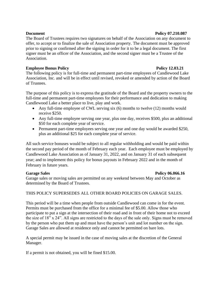### The Board of Trustees requires two signatures on behalf of the Association on any document to offer, to accept or to finalize the sale of Association property. The document must be approved prior to signing or confirmed after the signing in order for it to be a legal document. The first signer must be an officer of the Association, and the second signer must be a Trustee of the Association.

### **Employee Bonus Policy 2.03.21**

The following policy is for full-time and permanent part-time employees of Candlewood Lake Association, Inc. and will be in effect until revised, revoked or amended by action of the Board of Trustees.

The purpose of this policy is to express the gratitude of the Board and the property owners to the full-time and permanent part-time employees for their performance and dedication to making Candlewood Lake a better place to live, play and work.

- Any full-time employee of CWL serving six (6) months to twelve (12) months would receive \$250.
- Any full-time employee serving one year, plus one day, receives \$500, plus an additional \$50 for each complete year of service.
- Permanent part-time employees serving one year and one day would be awarded \$250, plus an additional \$25 for each complete year of service.

All such service bonuses would be subject to all regular withholding and would be paid within the second pay period of the month of February each year. Each employee must be employed by Candlewood Lake Association as of January 31, 2022, and on January 31 of each subsequent year; and to implement this policy for bonus payouts in February 2022 and in the month of February in future years.

### **Garage Sales Policy 06.066.16**

Garage sales or moving sales are permitted on any weekend between May and October as determined by the Board of Trustees.

### THIS POLICY SUPERSEDES ALL OTHER BOARD POLICIES ON GARAGE SALES.

This period will be a time when people from outside Candlewood can come in for the event. Permits must be purchased from the office for a minimal fee of \$5.00. Allow those who participate to put a sign at the intersection of their road and in front of their home not to exceed the size of 18" x 24". All signs are restricted to the days of the sale only. Signs must be removed by the person who put them up and must have the person's unit and lot number on the sign. Garage Sales are allowed at residence only and cannot be permitted on bare lots.

A special permit may be issued in the case of moving sales at the discretion of the General Manager.

If a permit is not obtained, you will be fined \$15.00.

#### **Document Policy 07.210.087**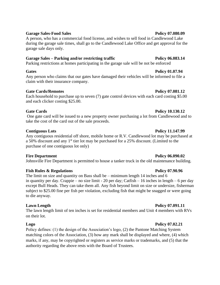### Garage Sales-Food Sales **Policy 07.080.09**

A person, who has a commercial food license, and wishes to sell food in Candlewood Lake during the garage sale times, shall go to the Candlewood Lake Office and get approval for the garage sale days only.

#### Garage Sales – Parking and/or restricting traffic Policy 06.083.14

Parking restrictions at homes participating in the garage sale will be not be enforced

#### **Gates Policy 01.07.94**

Any person who claims that our gates have damaged their vehicles will be informed to file a claim with their insurance company.

### **Gate Cards/Remotes Policy 07.081.12**

Each household to purchase up to seven (7) gate control devices with each card costing \$5.00 and each clicker costing \$25.00.

### **Gate Cards Policy 10.130.12**

One gate card will be issued to a new property owner purchasing a lot from Candlewood and to take the cost of the card out of the sale proceeds.

### **Contiguous Lots Policy 11.147.99**

Any contiguous residential off shore, mobile home or R.V. Candlewood lot may be purchased at a 50% discount and any 1<sup>st</sup> tier lot may be purchased for a 25% discount. (Limited to the purchase of one contiguous lot only)

### **Fire Department Policy 06.090.02**

Johnsville Fire Department is permitted to house a tanker truck in the old maintenance building.

### **Fish Rules & Regulations Policy 07.90.96**

The limit on size and quantity on Bass shall be – minimum length 14 inches and 6 in quantity per day. Crappie – no size limit - 20 per day; Catfish – 16 inches in length – 6 per day except Bull Heads. They can take them all. Any fish beyond limit on size or undersize, fisherman subject to \$25.00 fine per fish per violation, excluding fish that might be snagged or were going to die anyway.

### **Lawn Length Policy 07.091.11**

The lawn length limit of ten inches is set for residential members and Unit 4 members with RVs on their lot.

### **Logo Policy 07.02.21**

Policy defines: (1) the design of the Association's logo, (2) the Pantone Matching System matching colors of the Association, (3) how any mark shall be displayed and where, (4) which marks, if any, may be copyrighted or registers as service marks or trademarks, and (5) that the authority regarding the above rests with the Board of Trustees.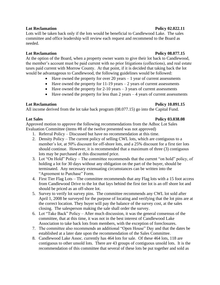Lots will be taken back only if the lots would be beneficial to Candlewood Lake. The sales committee and office leadership will review each request and recommend to the Board as needed.

### Lot Reclamation **Policy 08.077.15**

At the option of the Board, when a property owner wants to give their lot back to Candlewood, the member's account must be paid current with no prior litigations (collections), and real estate taxes paid current with Morrow County. At that point, if it is decided that taking back the lot would be advantageous to Candlewood, the following guidelines would be followed:

- Have owned the property for over 20 years  $-1$  year of current assessments
- Have owned the property for  $11-19$  years  $-2$  years of current assessments
- Have owned the property for  $2-10$  years  $-3$  years of current assessments
- Have owned the property for less than  $2$  years  $-4$  years of current assessments

### **Lot Reclamation Policy 10.091.15**

All income derived from the lot take back program (08.077.15) go into the Capital Fund.

### **Lot Sales Policy 03.038.08**

Approved motion to approve the following recommendations from the Adhoc Lot Sales Evaluation Committee (items #8 of the twelve presented was not approved)

- 1. Referral Policy Discussed but have no recommendation at this time.
- 2. Density Policy The current policy of selling CWL lots, which are contiguous to a member's lot, at 50% discount for off-shore lots, and a 25% discount for a first tier lots should continue. However, it is recommended that a maximum of three (3) contiguous lots may be purchased at this discounted price.
- 3. Lot "On Hold" Policy The committee recommends that the current "on hold" policy, of holding a lot for 30 days without any obligation on the part of the buyer, should be terminated. Any necessary extenuating circumstances can be written into the "Agreement to Purchase" Form.
- 4. First Tier Flag Lots The committee recommends that any Flag lots with a 15 foot access from Candlewood Drive to the lot that lays behind the first tier lot is an off shore lot and should be priced as an off-shore lot.
- 5. Survey to verify lot survey pins. The committee recommends any CWL lot sold after April 1, 2008 be surveyed for the purpose of locating and verifying that the lot pins are at the correct location. They buyer will pay the balance of the survey cost, at the sales closing. The salesperson making the sale shall order the survey.
- 6. Lot "Take Back" Policy After much discussion, it was the general consensus of the committee, that at this time, it was not in the best interest of Candlewood Lake Association to take back lots from members, with the exception of foreclosures.
- 7. The committee also recommends an additional "Open House" Day and that the dates be established at a later date upon the recommendation of the Sales Committee.
- 8. Candlewood Lake Assoc. currently has 464 lots for sale. Of these 464 lots, 118 are contiguous to other unsold lots. There are 43 groups of contiguous unsold lots. It is the recommendation of this committee that several of these lots be put together and sold as

#### **Lot Reclamation Policy 02.022.11**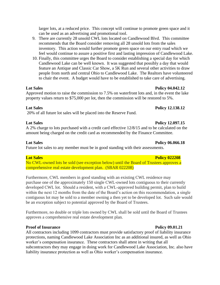- 9. There are currently 28 unsold CWL lots located on Candlewood Blvd. This committee recommends that the Board consider removing all 28 unsold lots from the sales inventory. This action would further promote green space on our entry road which we feel would continue to assure a positive first and lasting impression of Candlewood Lake.
- 10. Finally, this committee urges the Board to consider establishing a special day for which Candlewood Lake can be well known. It was suggested that possibly a day that would feature an Antique and Classic Car Show, a 5K Run and several other activities to draw people from north and central Ohio to Candlewood Lake. The Realtors have volunteered to chair the event. A budget would have to be established to take care of advertising.

Approved motion to raise the commission to 7.5% on waterfront lots and, in the event the lake property values return to \$75,000 per lot, then the commission will be restored to 5%.

### **Lot Sales Policy 12.138.12**

20% of all future lot sales will be placed into the Reserve Fund.

### **Lot Sales Policy 12.097.15**

A 2% charge to lots purchased with a credit card effective 12/8/15 and to be calculated on the amount being charged on the credit card as recommended by the Finance Committee.

### **Lot Sales Policy 06.066.18**

Future lot sales to any member must be in good standing with their assessments.

### **Lot Sales Policy 022208**

No CWL-owned lots be sold (see exception below) until the Board of Trustees approves a comprehensive real estate development plan. (SBAR 022208)

Furthermore, CWL members in good standing with an existing CWL residence may purchase one of the approximately 150 single CWL-owned lots contiguous to their currently developed CWL lot. Should a resident, with a CWL-approved building permit, plan to build within the next 12 months from the date of the Board's action on this recommendation, a single contiguous lot may be sold to a member owning a then yet to be developed lot. Such sale would be an exception subject to potential approved by the Board of Trustees.

Furthermore, no double or triple lots owned by CWL shall be sold until the Board of Trustees approves a comprehensive real estate development plan.

### **Proof of Insurance Policy 09.01.21**

All contractors including 1099 contractors must provide satisfactory proof of liability insurance protections, naming Candlewood Lake Association Inc as an additional insured, as well as Ohio worker's compensation insurance. These contractors shall attest in writing that all subcontractors they may engage in doing work for Candlewood Lake Association, Inc. also have liability insurance protection as well as Ohio worker's compensation insurance.

### **Lot Sales Policy 04.042.12**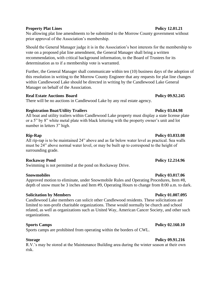### **Property Plat Lines Policy 12.01.21**

No allowing plat line amendments to be submitted to the Morrow County government without prior approval of the Association's membership.

Should the General Manager judge it is in the Association's best interests for the membership to vote on a proposed plat line amendment, the General Manager shall bring a written recommendation, with critical background information, to the Board of Trustees for its determination as to if a membership vote is warranted.

Further, the General Manager shall communicate within ten (10) business days of the adoption of this resolution in writing to the Morrow County Engineer that any requests for plat line changes within Candlewood Lake should be directed in writing by the Candlewood Lake General Manager on behalf of the Association.

#### **Real Estate Auctions Board Policy 09.92.245**

There will be no auctions in Candlewood Lake by any real estate agency.

### **Registration Boat/Utility Trailers Policy 03.04.98**

All boat and utility trailers within Candlewood Lake property must display a state license plate or a 5" by 8" white metal plate with black lettering with the property owner's unit and lot number in letters 3" high.

### **Rip-Rap Policy 03.033.08**

All rip-rap is to be maintained 24" above and as far below water level as practical. Sea walls must be 24" above normal water level, or may be built up to correspond to the height of surrounding grade.

### **Rockaway Pond Policy 12.214.96**

Swimming is not permitted at the pond on Rockaway Drive.

Approved motion to eliminate, under Snowmobile Rules and Operating Procedures, Item #8, depth of snow must be 3 inches and Item #9, Operating Hours to change from 8:00 a.m. to dark.

### **Solicitation by Members Policy 01.007.095**

Candlewood Lake members can solicit other Candlewood residents. These solicitations are limited to non-profit charitable organizations. These would normally be church and school related, as well as organizations such as United Way, American Cancer Society, and other such organizations.

### **Sports Camps Policy 02.160.10**

Sports camps are prohibited from operating within the borders of CWL.

### **Storage Policy 09.91.216**

R.V.'s may be stored at the Maintenance Building area during the winter season at their own risk.

### **Snowmobiles Policy 03.017.06**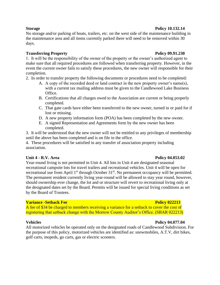#### **Storage Policy 10.132.14**

No storage and/or parking of boats, trailers, etc. on the west side of the maintenance building in the maintenance area and all items currently parked there will need to be removed within 30 days.

### **Transferring Property Policy 09.91.230**

1. It will be the responsibility of the owner of the property or the owner's authorized agent to make sure that all required procedures are followed when transferring property. However, in the event the current owner fails to satisfy these procedures, the new owner will responsible for their completion.

- 2. In order to transfer property the following documents or procedures need to be completed:
	- A. A copy of the recorded deed or land contract in the new property owner's name(s), with a current tax mailing address must be given to the Candlewood Lake Business Office.
	- B. Certifications that all charges owed to the Association are current or being properly completed.
	- C. That gate cards have either been transferred to the new owner, turned in or paid for if lost or missing.
	- D. A new property information form (POA) has been completed by the new owner.
	- E. A signed Representation and Agreements form by the new owner has been completed.

3. It will be understood that the new owner will not be entitled to any privileges of membership until the above has been completed and is on file in the office.

4. These procedures will be satisfied in any transfer of association property including association.

### **Unit 4 - R.V. Area Policy 04.053.02**

Year-round living is not permitted in Unit 4. All lots in Unit 4 are designated seasonal recreational campsite lots for travel trailers and recreational vehicles. Unit 4 will be open for recreational use from April 1<sup>st</sup> through October 31<sup>st</sup>. No permanent occupancy will be permitted. The permanent resident currently living year-round will be allowed to stay year round, however, should ownership ever change, the lot and or structure will revert to recreational living only at the designated dates set by the Board. Permits will be issued for special living conditions as set by the Board of Trustees.

### **Variance -Setback Fee Policy 022213**

A fee of \$34 be charged to members receiving a variance for a setback to cover the cost of registering that setback change with the Morrow County Auditor's Office. (SBAR 022213)

All motorized vehicles be operated only on the designated roads of Candlewood Subdivision. For the purpose of this policy, motorized vehicles are identified as: snowmobiles, A.T.V, dirt bikes, golf carts, mopeds, go carts, gas or electric scooters.

#### **Vehicles Policy 04.077.04**